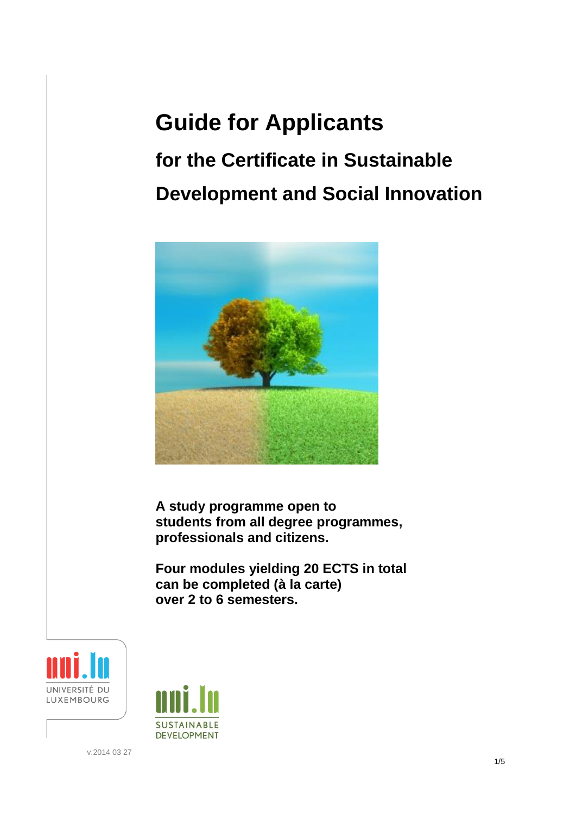## **Guide for Applicants**

# **for the Certificate in Sustainable Development and Social Innovation**



**A study programme open to students from all degree programmes, professionals and citizens.**

**Four modules yielding 20 ECTS in total can be completed (à la carte) over 2 to 6 semesters.**





v.2014 03 27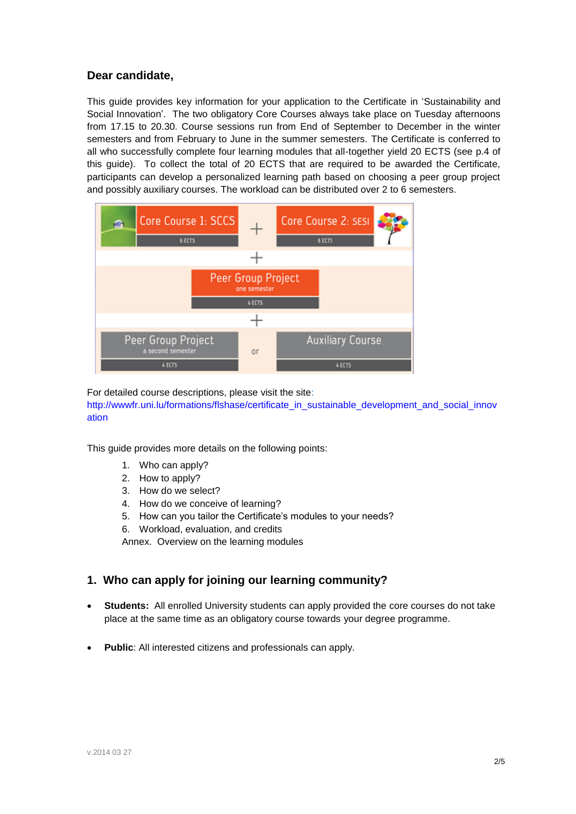## **Dear candidate,**

This guide provides key information for your application to the Certificate in 'Sustainability and Social Innovation'. The two obligatory Core Courses always take place on Tuesday afternoons from 17.15 to 20.30. Course sessions run from End of September to December in the winter semesters and from February to June in the summer semesters. The Certificate is conferred to all who successfully complete four learning modules that all-together yield 20 ECTS (see p.4 of this guide). To collect the total of 20 ECTS that are required to be awarded the Certificate, participants can develop a personalized learning path based on choosing a peer group project and possibly auxiliary courses. The workload can be distributed over 2 to 6 semesters.



For detailed course descriptions, please visit the site:

http://wwwfr.uni.lu/formations/flshase/certificate\_in\_sustainable\_development\_and\_social\_innov ation

This guide provides more details on the following points:

- 1. Who can apply?
- 2. How to apply?
- 3. How do we select?
- 4. How do we conceive of learning?
- 5. How can you tailor the Certificate's modules to your needs?
- 6. Workload, evaluation, and credits

Annex. Overview on the learning modules

## **1. Who can apply for joining our learning community?**

- **Students:** All enrolled University students can apply provided the core courses do not take place at the same time as an obligatory course towards your degree programme.
- **Public**: All interested citizens and professionals can apply.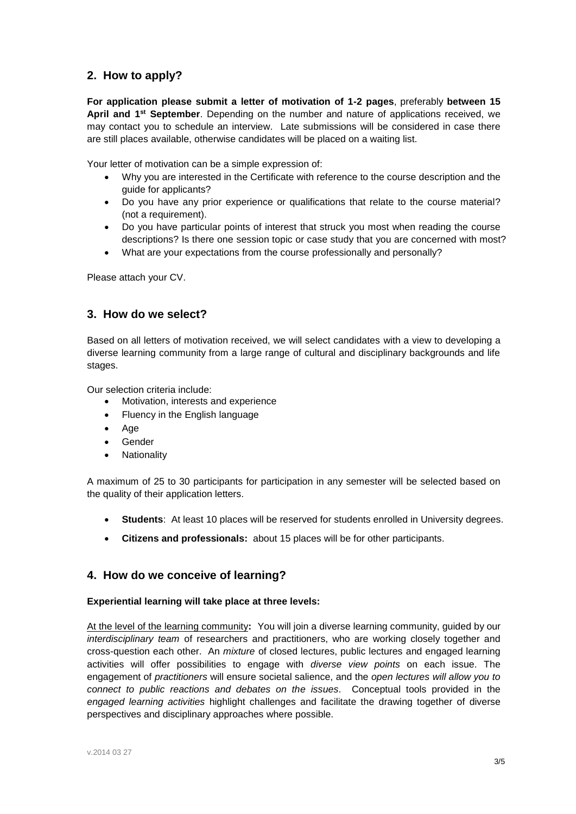## **2. How to apply?**

**For application please submit a letter of motivation of 1-2 pages**, preferably **between 15**  April and 1<sup>st</sup> September. Depending on the number and nature of applications received, we may contact you to schedule an interview. Late submissions will be considered in case there are still places available, otherwise candidates will be placed on a waiting list.

Your letter of motivation can be a simple expression of:

- Why you are interested in the Certificate with reference to the course description and the guide for applicants?
- Do you have any prior experience or qualifications that relate to the course material? (not a requirement).
- Do you have particular points of interest that struck you most when reading the course descriptions? Is there one session topic or case study that you are concerned with most?
- What are your expectations from the course professionally and personally?

Please attach your CV.

## **3. How do we select?**

Based on all letters of motivation received, we will select candidates with a view to developing a diverse learning community from a large range of cultural and disciplinary backgrounds and life stages.

Our selection criteria include:

- Motivation, interests and experience
- Fluency in the English language
- Age
- Gender
- Nationality

A maximum of 25 to 30 participants for participation in any semester will be selected based on the quality of their application letters.

- **Students**: At least 10 places will be reserved for students enrolled in University degrees.
- **Citizens and professionals:** about 15 places will be for other participants.

## **4. How do we conceive of learning?**

#### **Experiential learning will take place at three levels:**

At the level of the learning community**:** You will join a diverse learning community, guided by our *interdisciplinary team* of researchers and practitioners, who are working closely together and cross-question each other. An *mixture* of closed lectures, public lectures and engaged learning activities will offer possibilities to engage with *diverse view points* on each issue. The engagement of *practitioners* will ensure societal salience, and the *open lectures will allow you to connect to public reactions and debates on the issues*. Conceptual tools provided in the *engaged learning activities* highlight challenges and facilitate the drawing together of diverse perspectives and disciplinary approaches where possible.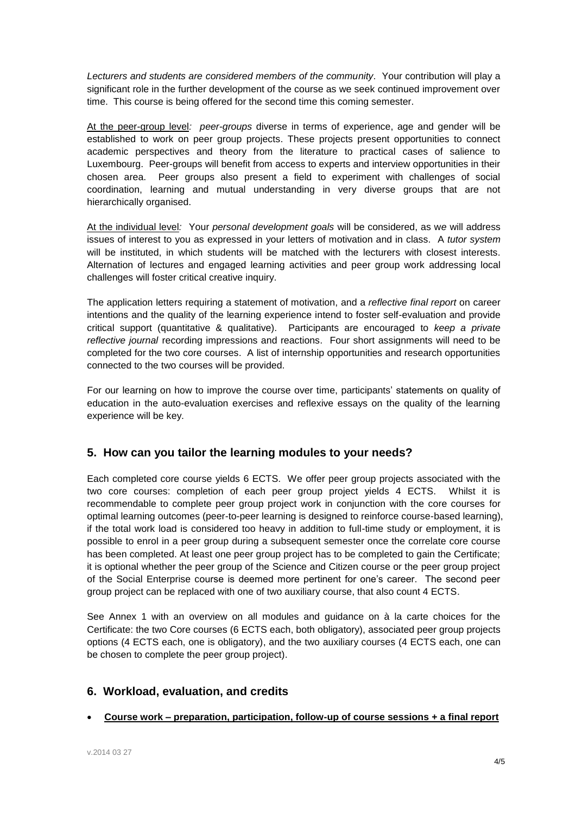*Lecturers and students are considered members of the community*. Your contribution will play a significant role in the further development of the course as we seek continued improvement over time. This course is being offered for the second time this coming semester.

At the peer-group level*: peer-groups* diverse in terms of experience, age and gender will be established to work on peer group projects. These projects present opportunities to connect academic perspectives and theory from the literature to practical cases of salience to Luxembourg. Peer-groups will benefit from access to experts and interview opportunities in their chosen area. Peer groups also present a field to experiment with challenges of social coordination, learning and mutual understanding in very diverse groups that are not hierarchically organised.

At the individual level*:*Your *personal development goals* will be considered, as w*e* will address issues of interest to you as expressed in your letters of motivation and in class. A *tutor system* will be instituted, in which students will be matched with the lecturers with closest interests. Alternation of lectures and engaged learning activities and peer group work addressing local challenges will foster critical creative inquiry.

The application letters requiring a statement of motivation, and a *reflective final report* on career intentions and the quality of the learning experience intend to foster self-evaluation and provide critical support (quantitative & qualitative). Participants are encouraged to *keep a private reflective journal* recording impressions and reactions. Four short assignments will need to be completed for the two core courses. A list of internship opportunities and research opportunities connected to the two courses will be provided.

For our learning on how to improve the course over time, participants' statements on quality of education in the auto-evaluation exercises and reflexive essays on the quality of the learning experience will be key.

## **5. How can you tailor the learning modules to your needs?**

Each completed core course yields 6 ECTS. We offer peer group projects associated with the two core courses: completion of each peer group project yields 4 ECTS. Whilst it is recommendable to complete peer group project work in conjunction with the core courses for optimal learning outcomes (peer-to-peer learning is designed to reinforce course-based learning), if the total work load is considered too heavy in addition to full-time study or employment, it is possible to enrol in a peer group during a subsequent semester once the correlate core course has been completed. At least one peer group project has to be completed to gain the Certificate; it is optional whether the peer group of the Science and Citizen course or the peer group project of the Social Enterprise course is deemed more pertinent for one's career. The second peer group project can be replaced with one of two auxiliary course, that also count 4 ECTS.

See Annex 1 with an overview on all modules and guidance on à la carte choices for the Certificate: the two Core courses (6 ECTS each, both obligatory), associated peer group projects options (4 ECTS each, one is obligatory), and the two auxiliary courses (4 ECTS each, one can be chosen to complete the peer group project).

## **6. Workload, evaluation, and credits**

**Course work – preparation, participation, follow-up of course sessions + a final report**